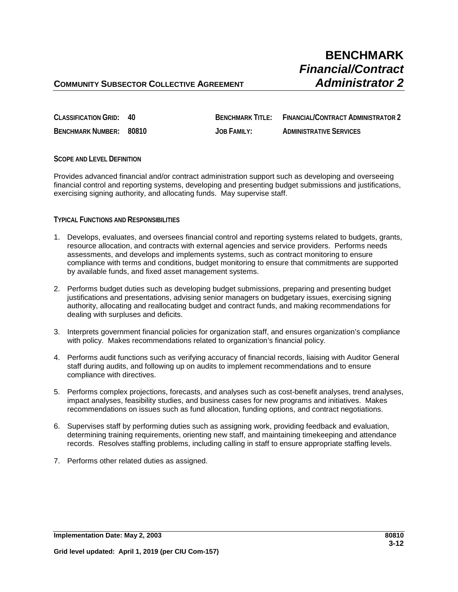# **BENCHMARK** *Financial/Contract*

## **COMMUNITY SUBSECTOR COLLECTIVE AGREEMENT** *Administrator 2*

| CLASSIFICATION GRID: 40 | <b>BENCHMARK TITI F:</b> | FINANCIAL/CONTRACT ADMINISTRATOR 2 |
|-------------------------|--------------------------|------------------------------------|
| BENCHMARK NUMBER: 80810 | JOB FAMILY:              | <b>ADMINISTRATIVE SERVICES</b>     |

#### **SCOPE AND LEVEL DEFINITION**

Provides advanced financial and/or contract administration support such as developing and overseeing financial control and reporting systems, developing and presenting budget submissions and justifications, exercising signing authority, and allocating funds. May supervise staff.

#### **TYPICAL FUNCTIONS AND RESPONSIBILITIES**

- 1. Develops, evaluates, and oversees financial control and reporting systems related to budgets, grants, resource allocation, and contracts with external agencies and service providers. Performs needs assessments, and develops and implements systems, such as contract monitoring to ensure compliance with terms and conditions, budget monitoring to ensure that commitments are supported by available funds, and fixed asset management systems.
- 2. Performs budget duties such as developing budget submissions, preparing and presenting budget justifications and presentations, advising senior managers on budgetary issues, exercising signing authority, allocating and reallocating budget and contract funds, and making recommendations for dealing with surpluses and deficits.
- 3. Interprets government financial policies for organization staff, and ensures organization's compliance with policy. Makes recommendations related to organization's financial policy.
- 4. Performs audit functions such as verifying accuracy of financial records, liaising with Auditor General staff during audits, and following up on audits to implement recommendations and to ensure compliance with directives.
- 5. Performs complex projections, forecasts, and analyses such as cost-benefit analyses, trend analyses, impact analyses, feasibility studies, and business cases for new programs and initiatives. Makes recommendations on issues such as fund allocation, funding options, and contract negotiations.
- 6. Supervises staff by performing duties such as assigning work, providing feedback and evaluation, determining training requirements, orienting new staff, and maintaining timekeeping and attendance records. Resolves staffing problems, including calling in staff to ensure appropriate staffing levels.
- 7. Performs other related duties as assigned.